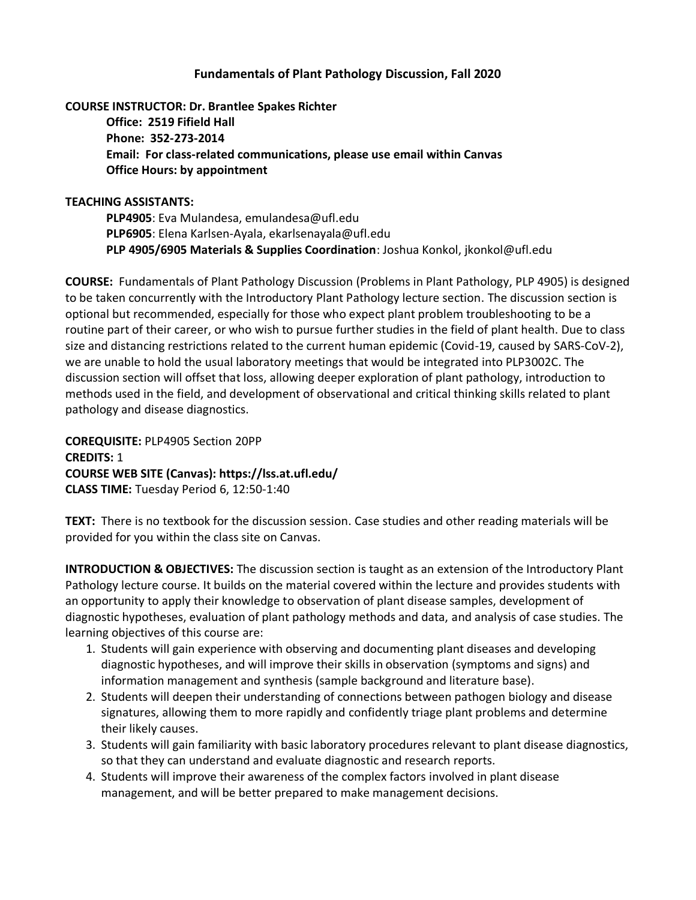# **Fundamentals of Plant Pathology Discussion, Fall 2020**

# **COURSE INSTRUCTOR: Dr. Brantlee Spakes Richter**

**Office: 2519 Fifield Hall Phone: 352-273-2014 Email: For class-related communications, please use email within Canvas Office Hours: by appointment**

## **TEACHING ASSISTANTS:**

**PLP4905**: Eva Mulandesa, emulandesa@ufl.edu **PLP6905**: Elena Karlsen-Ayala, ekarlsenayala@ufl.edu **PLP 4905/6905 Materials & Supplies Coordination**: Joshua Konkol, jkonkol@ufl.edu

**COURSE:** Fundamentals of Plant Pathology Discussion (Problems in Plant Pathology, PLP 4905) is designed to be taken concurrently with the Introductory Plant Pathology lecture section. The discussion section is optional but recommended, especially for those who expect plant problem troubleshooting to be a routine part of their career, or who wish to pursue further studies in the field of plant health. Due to class size and distancing restrictions related to the current human epidemic (Covid-19, caused by SARS-CoV-2), we are unable to hold the usual laboratory meetings that would be integrated into PLP3002C. The discussion section will offset that loss, allowing deeper exploration of plant pathology, introduction to methods used in the field, and development of observational and critical thinking skills related to plant pathology and disease diagnostics.

**COREQUISITE:** PLP4905 Section 20PP **CREDITS:** 1 **COURSE WEB SITE (Canvas): https://lss.at.ufl.edu/ CLASS TIME:** Tuesday Period 6, 12:50-1:40

**TEXT:** There is no textbook for the discussion session. Case studies and other reading materials will be provided for you within the class site on Canvas.

**INTRODUCTION & OBJECTIVES:** The discussion section is taught as an extension of the Introductory Plant Pathology lecture course. It builds on the material covered within the lecture and provides students with an opportunity to apply their knowledge to observation of plant disease samples, development of diagnostic hypotheses, evaluation of plant pathology methods and data, and analysis of case studies. The learning objectives of this course are:

- 1. Students will gain experience with observing and documenting plant diseases and developing diagnostic hypotheses, and will improve their skills in observation (symptoms and signs) and information management and synthesis (sample background and literature base).
- 2. Students will deepen their understanding of connections between pathogen biology and disease signatures, allowing them to more rapidly and confidently triage plant problems and determine their likely causes.
- 3. Students will gain familiarity with basic laboratory procedures relevant to plant disease diagnostics, so that they can understand and evaluate diagnostic and research reports.
- 4. Students will improve their awareness of the complex factors involved in plant disease management, and will be better prepared to make management decisions.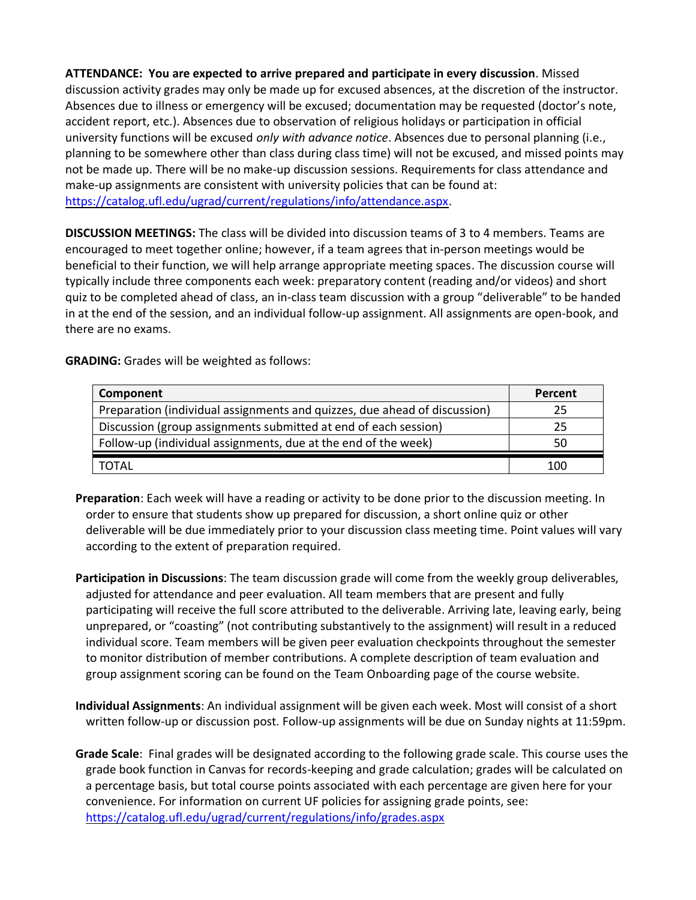**ATTENDANCE: You are expected to arrive prepared and participate in every discussion**. Missed discussion activity grades may only be made up for excused absences, at the discretion of the instructor. Absences due to illness or emergency will be excused; documentation may be requested (doctor's note, accident report, etc.). Absences due to observation of religious holidays or participation in official university functions will be excused *only with advance notice*. Absences due to personal planning (i.e., planning to be somewhere other than class during class time) will not be excused, and missed points may not be made up. There will be no make-up discussion sessions. Requirements for class attendance and make-up assignments are consistent with university policies that can be found at: [https://catalog.ufl.edu/ugrad/current/regulations/info/attendance.aspx.](https://catalog.ufl.edu/ugrad/current/regulations/info/attendance.aspx)

**DISCUSSION MEETINGS:** The class will be divided into discussion teams of 3 to 4 members. Teams are encouraged to meet together online; however, if a team agrees that in-person meetings would be beneficial to their function, we will help arrange appropriate meeting spaces. The discussion course will typically include three components each week: preparatory content (reading and/or videos) and short quiz to be completed ahead of class, an in-class team discussion with a group "deliverable" to be handed in at the end of the session, and an individual follow-up assignment. All assignments are open-book, and there are no exams.

**GRADING:** Grades will be weighted as follows:

| Component                                                                 | Percent |
|---------------------------------------------------------------------------|---------|
| Preparation (individual assignments and quizzes, due ahead of discussion) | 25      |
| Discussion (group assignments submitted at end of each session)           | 25      |
| Follow-up (individual assignments, due at the end of the week)            | 50      |
| TOTAL                                                                     | 100     |

**Preparation**: Each week will have a reading or activity to be done prior to the discussion meeting. In order to ensure that students show up prepared for discussion, a short online quiz or other deliverable will be due immediately prior to your discussion class meeting time. Point values will vary according to the extent of preparation required.

- **Participation in Discussions**: The team discussion grade will come from the weekly group deliverables, adjusted for attendance and peer evaluation. All team members that are present and fully participating will receive the full score attributed to the deliverable. Arriving late, leaving early, being unprepared, or "coasting" (not contributing substantively to the assignment) will result in a reduced individual score. Team members will be given peer evaluation checkpoints throughout the semester to monitor distribution of member contributions. A complete description of team evaluation and group assignment scoring can be found on the Team Onboarding page of the course website.
- **Individual Assignments**: An individual assignment will be given each week. Most will consist of a short written follow-up or discussion post. Follow-up assignments will be due on Sunday nights at 11:59pm.
- **Grade Scale**: Final grades will be designated according to the following grade scale. This course uses the grade book function in Canvas for records-keeping and grade calculation; grades will be calculated on a percentage basis, but total course points associated with each percentage are given here for your convenience. For information on current UF policies for assigning grade points, see: <https://catalog.ufl.edu/ugrad/current/regulations/info/grades.aspx>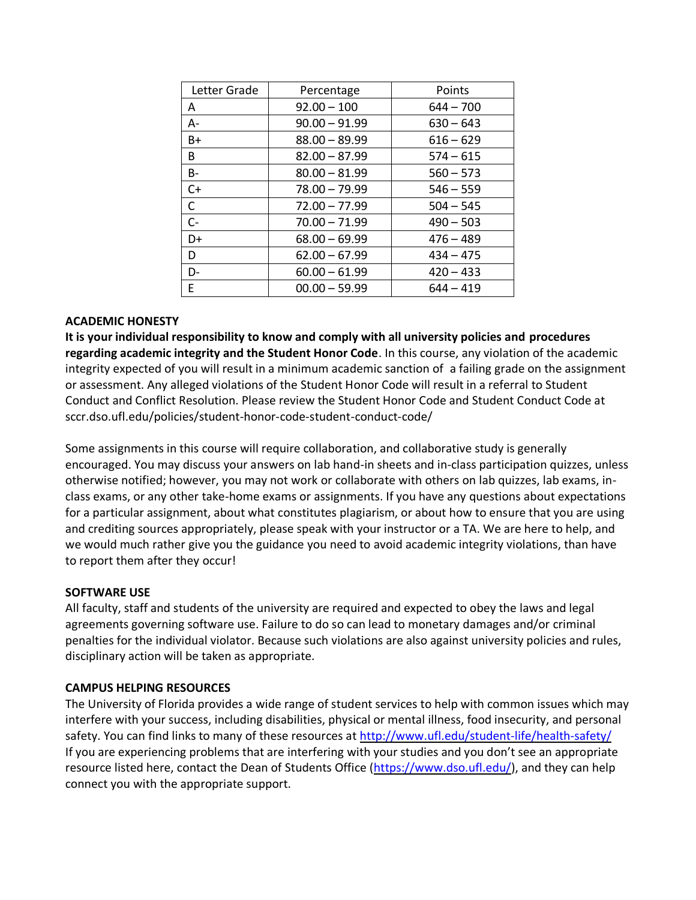| Letter Grade | Percentage      | Points      |
|--------------|-----------------|-------------|
| A            | $92.00 - 100$   | $644 - 700$ |
| $A -$        | $90.00 - 91.99$ | $630 - 643$ |
| $B+$         | $88.00 - 89.99$ | $616 - 629$ |
| B            | $82.00 - 87.99$ | $574 - 615$ |
| $B -$        | $80.00 - 81.99$ | $560 - 573$ |
| $C+$         | $78.00 - 79.99$ | $546 - 559$ |
| $\mathsf{C}$ | $72.00 - 77.99$ | $504 - 545$ |
| $C -$        | $70.00 - 71.99$ | $490 - 503$ |
| D+           | $68.00 - 69.99$ | $476 - 489$ |
| D            | $62.00 - 67.99$ | $434 - 475$ |
| D-           | $60.00 - 61.99$ | $420 - 433$ |
| E            | $00.00 - 59.99$ | $644 - 419$ |

### **ACADEMIC HONESTY**

**It is your individual responsibility to know and comply with all university policies and procedures regarding academic integrity and the Student Honor Code**. In this course, any violation of the academic integrity expected of you will result in a minimum academic sanction of a failing grade on the assignment or assessment. Any alleged violations of the Student Honor Code will result in a referral to Student Conduct and Conflict Resolution. Please review the Student Honor Code and Student Conduct Code at sccr.dso.ufl.edu/policies/student-honor-code-student-conduct-code/

Some assignments in this course will require collaboration, and collaborative study is generally encouraged. You may discuss your answers on lab hand-in sheets and in-class participation quizzes, unless otherwise notified; however, you may not work or collaborate with others on lab quizzes, lab exams, inclass exams, or any other take-home exams or assignments. If you have any questions about expectations for a particular assignment, about what constitutes plagiarism, or about how to ensure that you are using and crediting sources appropriately, please speak with your instructor or a TA. We are here to help, and we would much rather give you the guidance you need to avoid academic integrity violations, than have to report them after they occur!

#### **SOFTWARE USE**

All faculty, staff and students of the university are required and expected to obey the laws and legal agreements governing software use. Failure to do so can lead to monetary damages and/or criminal penalties for the individual violator. Because such violations are also against university policies and rules, disciplinary action will be taken as appropriate.

#### **CAMPUS HELPING RESOURCES**

The University of Florida provides a wide range of student services to help with common issues which may interfere with your success, including disabilities, physical or mental illness, food insecurity, and personal safety. You can find links to many of these resources at<http://www.ufl.edu/student-life/health-safety/> If you are experiencing problems that are interfering with your studies and you don't see an appropriate resource listed here, contact the Dean of Students Office [\(https://www.dso.ufl.edu/\)](https://www.dso.ufl.edu/), and they can help connect you with the appropriate support.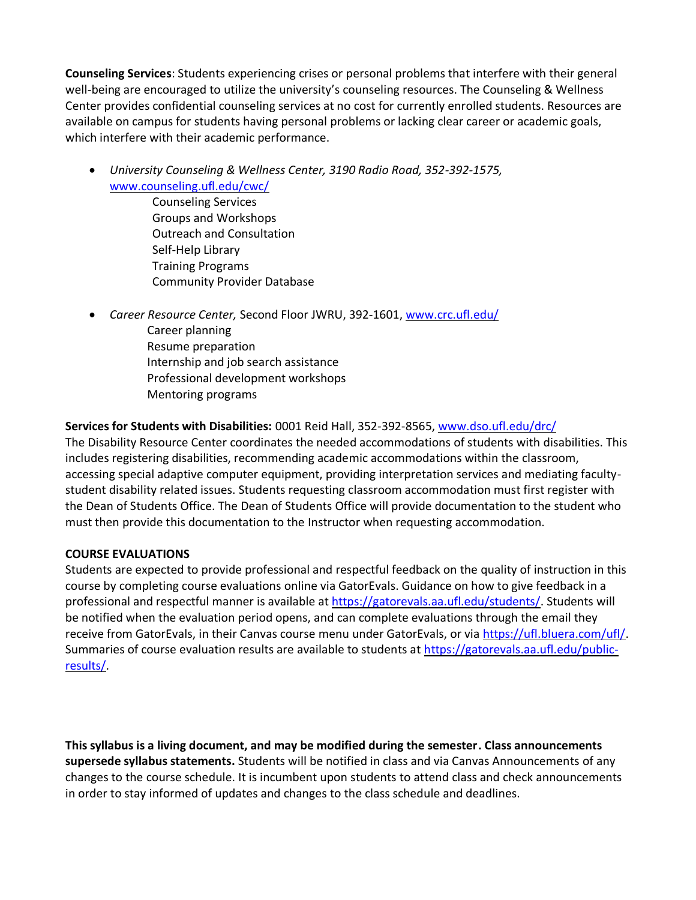**Counseling Services**: Students experiencing crises or personal problems that interfere with their general well-being are encouraged to utilize the university's counseling resources. The Counseling & Wellness Center provides confidential counseling services at no cost for currently enrolled students. Resources are available on campus for students having personal problems or lacking clear career or academic goals, which interfere with their academic performance.

- *University Counseling & Wellness Center, 3190 Radio Road, 352-392-1575,* [www.counseling.ufl.edu/cwc/](http://www.counseling.ufl.edu/cwc/)
	- Counseling Services Groups and Workshops Outreach and Consultation Self-Help Library Training Programs Community Provider Database
- *Career Resource Center,* Second Floor JWRU, 392-1601, [www.crc.ufl.edu/](http://www.crc.ufl.edu/) Career planning Resume preparation Internship and job search assistance Professional development workshops Mentoring programs

# **Services for Students with Disabilities:** 0001 Reid Hall, 352-392-8565, [www.dso.ufl.edu/drc/](http://www.dso.ufl.edu/drc/)

The Disability Resource Center coordinates the needed accommodations of students with disabilities. This includes registering disabilities, recommending academic accommodations within the classroom, accessing special adaptive computer equipment, providing interpretation services and mediating facultystudent disability related issues. Students requesting classroom accommodation must first register with the Dean of Students Office. The Dean of Students Office will provide documentation to the student who must then provide this documentation to the Instructor when requesting accommodation.

# **COURSE EVALUATIONS**

Students are expected to provide professional and respectful feedback on the quality of instruction in this course by completing course evaluations online via GatorEvals. Guidance on how to give feedback in a professional and respectful manner is available at [https://gatorevals.aa.ufl.edu/students/.](https://gatorevals.aa.ufl.edu/students/) Students will be notified when the evaluation period opens, and can complete evaluations through the email they receive from GatorEvals, in their Canvas course menu under GatorEvals, or via [https://ufl.bluera.com/ufl/.](https://urldefense.proofpoint.com/v2/url?u=https-3A__ufl.bluera.com_ufl_&d=DwMFAg&c=sJ6xIWYx-zLMB3EPkvcnVg&r=y2HjEMjRMHJhfdvLrqJZlYczRsfp5e4TfQjHuc5rVHg&m=WXko6OK_Ha6T00ZVAsEaSh99qRXHOgMNFRywCoehRho&s=itVU46DDJjnIg4CW6efJOOLgPjdzsPvCghyfzJoFONs&e=) Summaries of course evaluation results are available to students at [https://gatorevals.aa.ufl.edu/public](https://gatorevals.aa.ufl.edu/public-results/)[results/.](https://gatorevals.aa.ufl.edu/public-results/)

**This syllabus is a living document, and may be modified during the semester. Class announcements supersede syllabus statements.** Students will be notified in class and via Canvas Announcements of any changes to the course schedule. It is incumbent upon students to attend class and check announcements in order to stay informed of updates and changes to the class schedule and deadlines.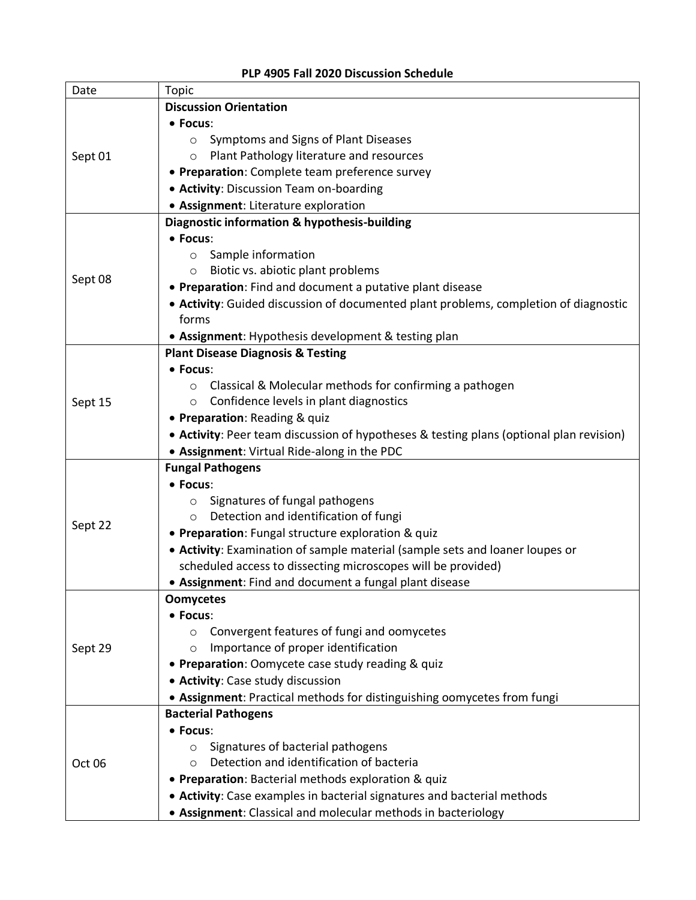#### **PLP 4905 Fall 2020 Discussion Schedule**

r

| Date    | <b>Topic</b>                                                                            |
|---------|-----------------------------------------------------------------------------------------|
|         | <b>Discussion Orientation</b>                                                           |
|         | • Focus:                                                                                |
|         | Symptoms and Signs of Plant Diseases<br>$\circ$                                         |
| Sept 01 | Plant Pathology literature and resources<br>$\circ$                                     |
|         | • Preparation: Complete team preference survey                                          |
|         | • Activity: Discussion Team on-boarding                                                 |
|         | • Assignment: Literature exploration                                                    |
|         | Diagnostic information & hypothesis-building                                            |
|         | • Focus:                                                                                |
|         | Sample information<br>$\circ$                                                           |
|         | Biotic vs. abiotic plant problems<br>$\circ$                                            |
| Sept 08 | • Preparation: Find and document a putative plant disease                               |
|         | • Activity: Guided discussion of documented plant problems, completion of diagnostic    |
|         | forms                                                                                   |
|         | • Assignment: Hypothesis development & testing plan                                     |
|         | <b>Plant Disease Diagnosis &amp; Testing</b>                                            |
|         | • Focus:                                                                                |
|         | Classical & Molecular methods for confirming a pathogen<br>$\circ$                      |
| Sept 15 | Confidence levels in plant diagnostics<br>$\circ$                                       |
|         | • Preparation: Reading & quiz                                                           |
|         | • Activity: Peer team discussion of hypotheses & testing plans (optional plan revision) |
|         | • Assignment: Virtual Ride-along in the PDC                                             |
|         | <b>Fungal Pathogens</b>                                                                 |
|         | • Focus:                                                                                |
|         | Signatures of fungal pathogens<br>$\circ$                                               |
|         | Detection and identification of fungi                                                   |
| Sept 22 | • Preparation: Fungal structure exploration & quiz                                      |
|         | • Activity: Examination of sample material (sample sets and loaner loupes or            |
|         | scheduled access to dissecting microscopes will be provided)                            |
|         | • Assignment: Find and document a fungal plant disease                                  |
|         | <b>Oomycetes</b>                                                                        |
|         | • Focus:                                                                                |
|         | Convergent features of fungi and oomycetes<br>$\circ$                                   |
| Sept 29 | Importance of proper identification<br>$\circ$                                          |
|         | • Preparation: Oomycete case study reading & quiz                                       |
|         | • Activity: Case study discussion                                                       |
|         | • Assignment: Practical methods for distinguishing oomycetes from fungi                 |
|         | <b>Bacterial Pathogens</b>                                                              |
| Oct 06  | • Focus:                                                                                |
|         | Signatures of bacterial pathogens<br>$\circ$                                            |
|         | Detection and identification of bacteria<br>$\circ$                                     |
|         | • Preparation: Bacterial methods exploration & quiz                                     |
|         | • Activity: Case examples in bacterial signatures and bacterial methods                 |
|         | • Assignment: Classical and molecular methods in bacteriology                           |